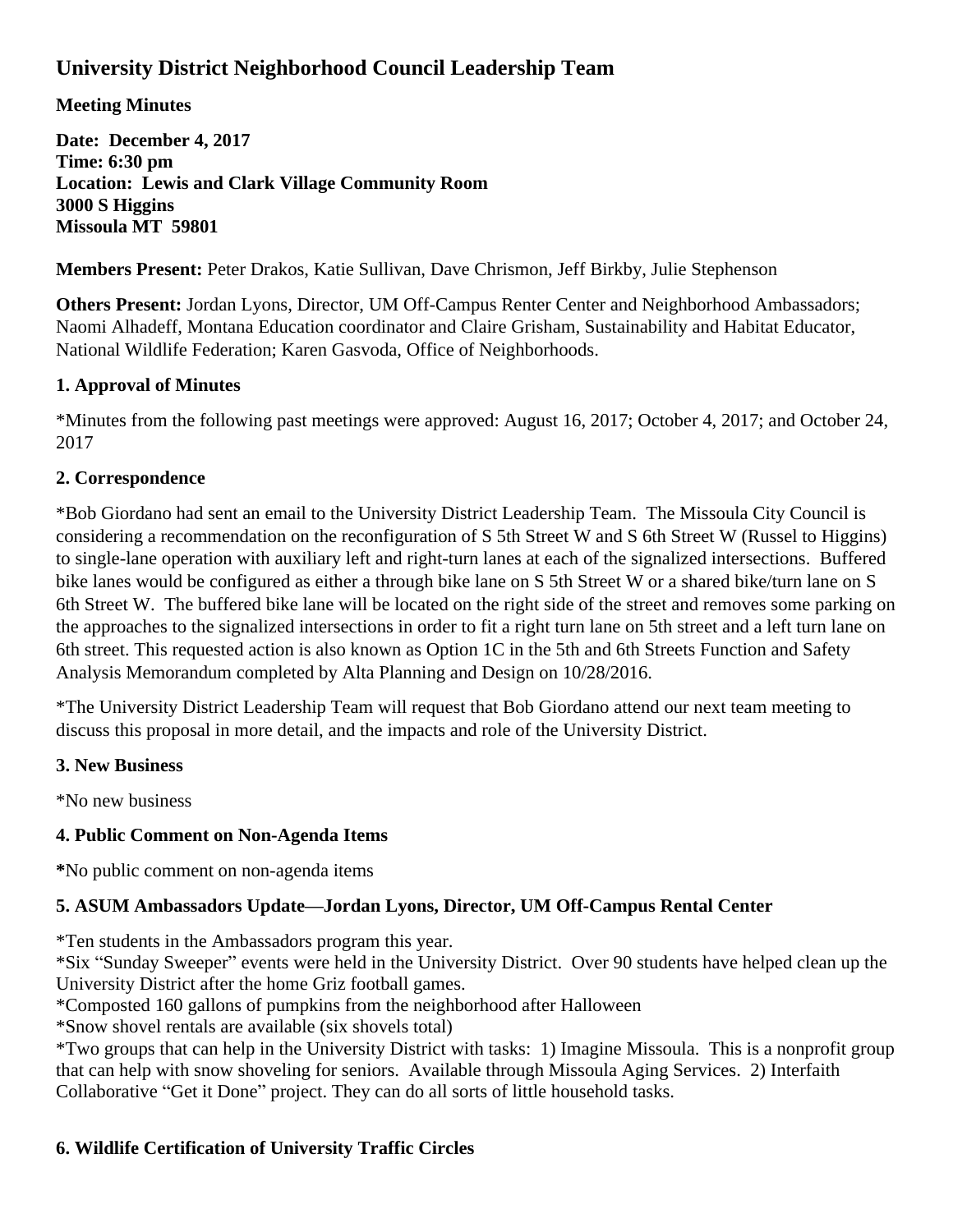# **University District Neighborhood Council Leadership Team**

# **Meeting Minutes**

**Date: December 4, 2017 Time: 6:30 pm Location: Lewis and Clark Village Community Room 3000 S Higgins Missoula MT 59801**

**Members Present:** Peter Drakos, Katie Sullivan, Dave Chrismon, Jeff Birkby, Julie Stephenson

**Others Present:** Jordan Lyons, Director, UM Off-Campus Renter Center and Neighborhood Ambassadors; Naomi Alhadeff, Montana Education coordinator and Claire Grisham, Sustainability and Habitat Educator, National Wildlife Federation; Karen Gasvoda, Office of Neighborhoods.

# **1. Approval of Minutes**

\*Minutes from the following past meetings were approved: August 16, 2017; October 4, 2017; and October 24, 2017

# **2. Correspondence**

\*Bob Giordano had sent an email to the University District Leadership Team. The Missoula City Council is considering a recommendation on the reconfiguration of S 5th Street W and S 6th Street W (Russel to Higgins) to single-lane operation with auxiliary left and right-turn lanes at each of the signalized intersections. Buffered bike lanes would be configured as either a through bike lane on S 5th Street W or a shared bike/turn lane on S 6th Street W. The buffered bike lane will be located on the right side of the street and removes some parking on the approaches to the signalized intersections in order to fit a right turn lane on 5th street and a left turn lane on 6th street. This requested action is also known as Option 1C in the 5th and 6th Streets Function and Safety Analysis Memorandum completed by Alta Planning and Design on 10/28/2016.

\*The University District Leadership Team will request that Bob Giordano attend our next team meeting to discuss this proposal in more detail, and the impacts and role of the University District.

# **3. New Business**

\*No new business

### **4. Public Comment on Non-Agenda Items**

**\***No public comment on non-agenda items

# **5. ASUM Ambassadors Update—Jordan Lyons, Director, UM Off-Campus Rental Center**

\*Ten students in the Ambassadors program this year.

\*Six "Sunday Sweeper" events were held in the University District. Over 90 students have helped clean up the University District after the home Griz football games.

\*Composted 160 gallons of pumpkins from the neighborhood after Halloween

\*Snow shovel rentals are available (six shovels total)

\*Two groups that can help in the University District with tasks: 1) Imagine Missoula. This is a nonprofit group that can help with snow shoveling for seniors. Available through Missoula Aging Services. 2) Interfaith Collaborative "Get it Done" project. They can do all sorts of little household tasks.

# **6. Wildlife Certification of University Traffic Circles**